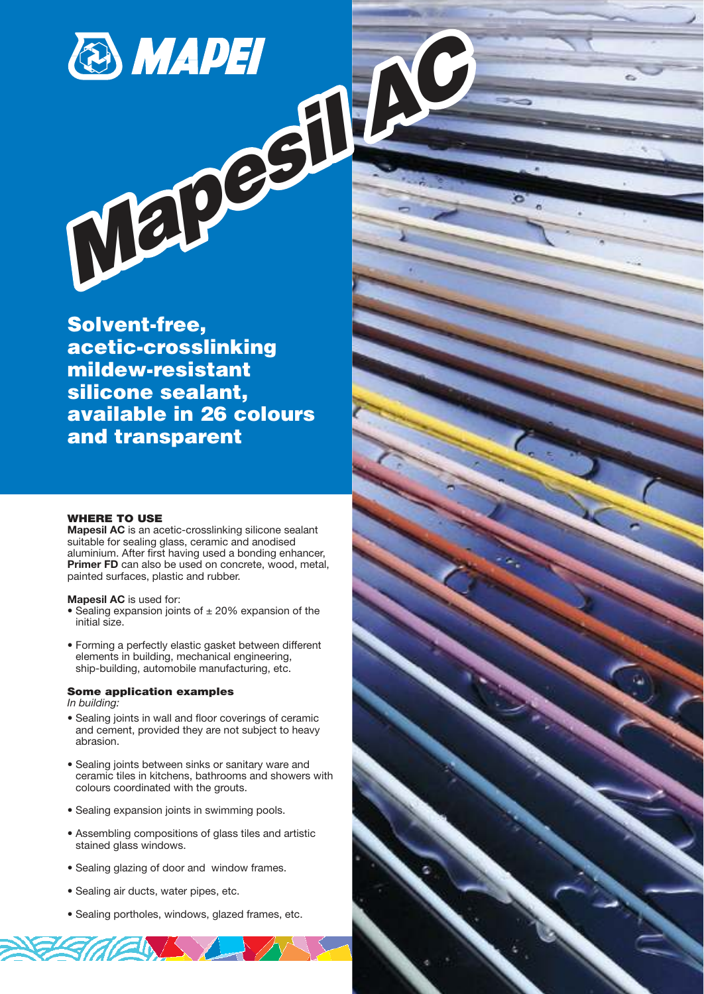

Solvent-free, acetic-crosslinking mildew-resistant silicone sealant, available in 26 colours and transparent

### WHERE TO USE

**Mapesil AC** is an acetic-crosslinking silicone sealant suitable for sealing glass, ceramic and anodised aluminium. After first having used a bonding enhancer, **Primer FD** can also be used on concrete, wood, metal, painted surfaces, plastic and rubber.

**Mapesil AC** is used for:

- Sealing expansion joints of  $\pm 20\%$  expansion of the initial size.
- Forming a perfectly elastic gasket between different elements in building, mechanical engineering, ship-building, automobile manufacturing, etc.

### Some application examples

*In building:*

- Sealing joints in wall and floor coverings of ceramic and cement, provided they are not subject to heavy abrasion.
- Sealing joints between sinks or sanitary ware and ceramic tiles in kitchens, bathrooms and showers with colours coordinated with the grouts.
- Sealing expansion joints in swimming pools.
- Assembling compositions of glass tiles and artistic stained glass windows.
- Sealing glazing of door and window frames.
- Sealing air ducts, water pipes, etc.

*ACINAM* 

• Sealing portholes, windows, glazed frames, etc.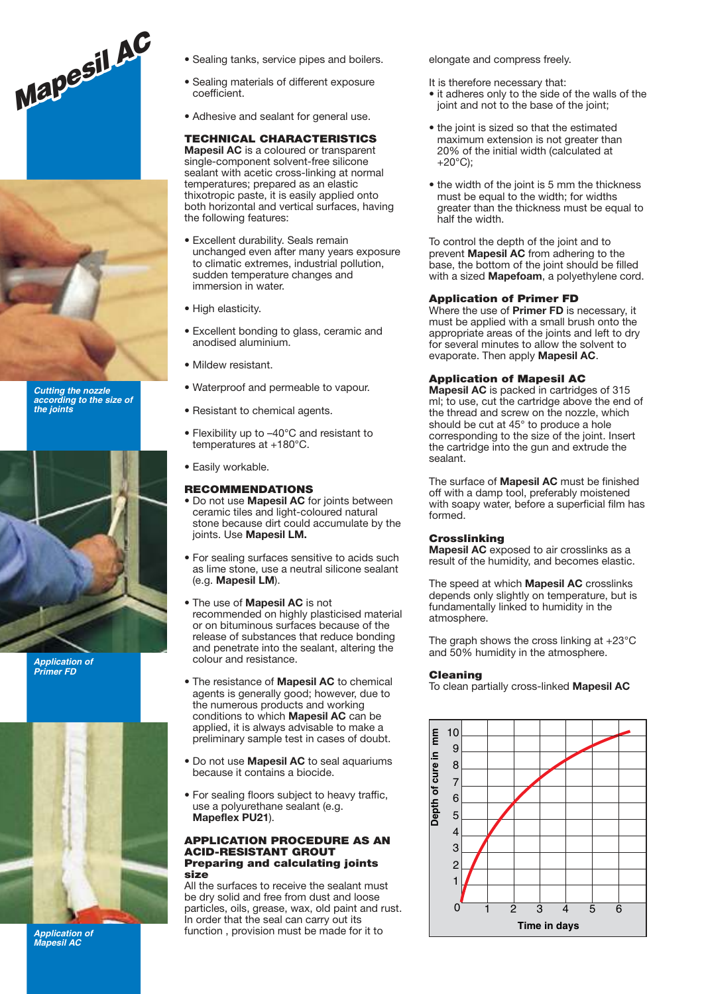



**Cutting the nozzle according to the size of the joints**



**Application of Primer FD**



**Application of Mapesil AC**

- Sealing tanks, service pipes and boilers.
- Sealing materials of different exposure coefficient.
- Adhesive and sealant for general use.

### TECHNICAL CHARACTERISTICS

**Mapesil AC** is a coloured or transparent single-component solvent-free silicone sealant with acetic cross-linking at normal temperatures; prepared as an elastic thixotropic paste, it is easily applied onto both horizontal and vertical surfaces, having the following features:

- Excellent durability. Seals remain unchanged even after many years exposure to climatic extremes, industrial pollution, sudden temperature changes and immersion in water.
- High elasticity.
- Excellent bonding to glass, ceramic and anodised aluminium.
- Mildew resistant.
- Waterproof and permeable to vapour.
- Resistant to chemical agents.
- Flexibility up to –40°C and resistant to temperatures at +180°C.
- Easily workable.

### RECOMMENDATIONS

- Do not use **Mapesil AC** for joints between ceramic tiles and light-coloured natural stone because dirt could accumulate by the joints. Use **Mapesil LM.**
- For sealing surfaces sensitive to acids such as lime stone, use a neutral silicone sealant (e.g. **Mapesil LM**).
- The use of **Mapesil AC** is not recommended on highly plasticised material or on bituminous surfaces because of the release of substances that reduce bonding and penetrate into the sealant, altering the colour and resistance.
- The resistance of **Mapesil AC** to chemical agents is generally good; however, due to the numerous products and working conditions to which **Mapesil AC** can be applied, it is always advisable to make a preliminary sample test in cases of doubt.
- Do not use **Mapesil AC** to seal aquariums because it contains a biocide.
- For sealing floors subject to heavy traffic, use a polyurethane sealant (e.g. **Mapeflex PU21**).

#### APPLICATION PROCEDURE AS AN ACID-RESISTANT GROUT Preparing and calculating joints size

All the surfaces to receive the sealant must be dry solid and free from dust and loose particles, oils, grease, wax, old paint and rust. In order that the seal can carry out its function , provision must be made for it to

elongate and compress freely.

- It is therefore necessary that:
- it adheres only to the side of the walls of the joint and not to the base of the joint;
- the joint is sized so that the estimated maximum extension is not greater than 20% of the initial width (calculated at  $+20^{\circ}$ C):
- the width of the joint is 5 mm the thickness must be equal to the width; for widths greater than the thickness must be equal to half the width.

To control the depth of the joint and to prevent **Mapesil AC** from adhering to the base, the bottom of the joint should be filled with a sized **Mapefoam**, a polyethylene cord.

### Application of Primer FD

Where the use of **Primer FD** is necessary, it must be applied with a small brush onto the appropriate areas of the joints and left to dry for several minutes to allow the solvent to evaporate. Then apply **Mapesil AC**.

### Application of Mapesil AC

**Mapesil AC** is packed in cartridges of 315 ml; to use, cut the cartridge above the end of the thread and screw on the nozzle, which should be cut at 45° to produce a hole corresponding to the size of the joint. Insert the cartridge into the gun and extrude the sealant.

The surface of **Mapesil AC** must be finished off with a damp tool, preferably moistened with soapy water, before a superficial film has formed.

### **Crosslinking**

**Mapesil AC** exposed to air crosslinks as a result of the humidity, and becomes elastic.

The speed at which **Mapesil AC** crosslinks depends only slightly on temperature, but is fundamentally linked to humidity in the atmosphere.

The graph shows the cross linking at +23°C and 50% humidity in the atmosphere.

### Cleaning

To clean partially cross-linked **Mapesil AC**

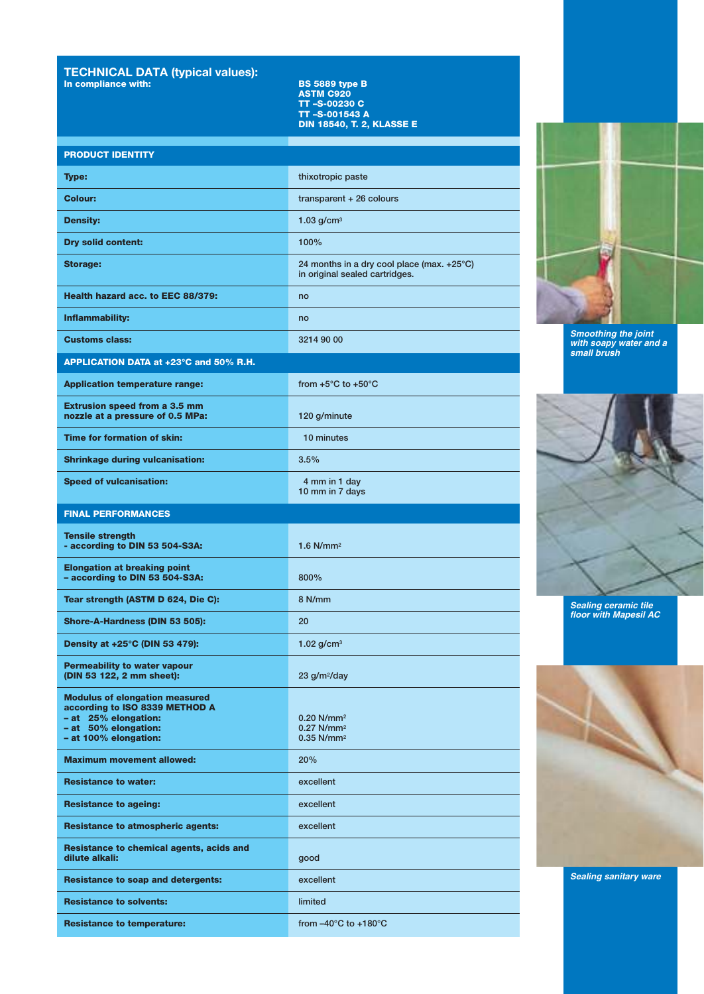# **TECHNICAL DATA (typical values):** In compliance with: BS 5889 type B

ASTM C920 TT –S-00230 C TT –S-001543 A DIN 18540, T. 2, KLASSE E

## PRODUCT IDENTITY

| <b>Type:</b>                                                                                                                                     | thixotropic paste                                                                |
|--------------------------------------------------------------------------------------------------------------------------------------------------|----------------------------------------------------------------------------------|
| <b>Colour:</b>                                                                                                                                   | transparent $+26$ colours                                                        |
| <b>Density:</b>                                                                                                                                  | 1.03 $g/cm3$                                                                     |
| <b>Dry solid content:</b>                                                                                                                        | 100%                                                                             |
| <b>Storage:</b>                                                                                                                                  | 24 months in a dry cool place (max. +25°C)<br>in original sealed cartridges.     |
| Health hazard acc. to EEC 88/379:                                                                                                                | no                                                                               |
| Inflammability:                                                                                                                                  | no                                                                               |
| <b>Customs class:</b>                                                                                                                            | 3214 90 00                                                                       |
| APPLICATION DATA at +23°C and 50% R.H.                                                                                                           |                                                                                  |
| <b>Application temperature range:</b>                                                                                                            | from $+5^{\circ}$ C to $+50^{\circ}$ C                                           |
| <b>Extrusion speed from a 3.5 mm</b><br>nozzle at a pressure of 0.5 MPa:                                                                         | 120 g/minute                                                                     |
| Time for formation of skin:                                                                                                                      | 10 minutes                                                                       |
| <b>Shrinkage during vulcanisation:</b>                                                                                                           | 3.5%                                                                             |
| <b>Speed of vulcanisation:</b>                                                                                                                   | 4 mm in 1 day<br>10 mm in 7 days                                                 |
| <b>FINAL PERFORMANCES</b>                                                                                                                        |                                                                                  |
| <b>Tensile strength</b><br>- according to DIN 53 504-S3A:                                                                                        | $1.6$ N/mm <sup>2</sup>                                                          |
| <b>Elongation at breaking point</b><br>- according to DIN 53 504-S3A:                                                                            | 800%                                                                             |
| Tear strength (ASTM D 624, Die C):                                                                                                               | 8 N/mm                                                                           |
| Shore-A-Hardness (DIN 53 505):                                                                                                                   | 20                                                                               |
| Density at +25°C (DIN 53 479):                                                                                                                   | 1.02 $q/cm^3$                                                                    |
| <b>Permeability to water vapour</b><br>(DIN 53 122, 2 mm sheet):                                                                                 | $23$ g/m <sup>2</sup> /day                                                       |
| <b>Modulus of elongation measured</b><br>according to ISO 8339 METHOD A<br>- at 25% elongation:<br>- at 50% elongation:<br>- at 100% elongation: | $0.20$ N/mm <sup>2</sup><br>$0.27$ N/mm <sup>2</sup><br>$0.35$ N/mm <sup>2</sup> |
| <b>Maximum movement allowed:</b>                                                                                                                 | 20%                                                                              |
| <b>Resistance to water:</b>                                                                                                                      | excellent                                                                        |
| <b>Resistance to ageing:</b>                                                                                                                     | excellent                                                                        |
| <b>Resistance to atmospheric agents:</b>                                                                                                         | excellent                                                                        |
| Resistance to chemical agents, acids and<br>dilute alkali:                                                                                       | good                                                                             |
| <b>Resistance to soap and detergents:</b>                                                                                                        | excellent                                                                        |
| <b>Resistance to solvents:</b>                                                                                                                   | limited                                                                          |
| <b>Resistance to temperature:</b>                                                                                                                | from $-40^{\circ}$ C to $+180^{\circ}$ C                                         |



**Smoothing the joint with soapy water and a small brush**



**Sealing ceramic tile floor with Mapesil AC**



**Sealing sanitary ware**